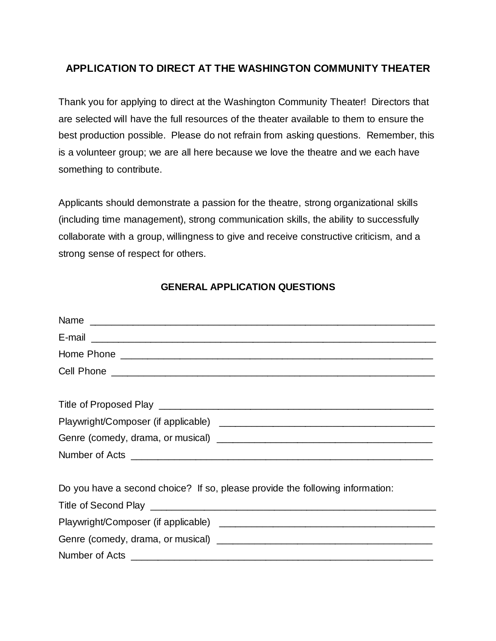## **APPLICATION TO DIRECT AT THE WASHINGTON COMMUNITY THEATER**

Thank you for applying to direct at the Washington Community Theater! Directors that are selected will have the full resources of the theater available to them to ensure the best production possible. Please do not refrain from asking questions. Remember, this is a volunteer group; we are all here because we love the theatre and we each have something to contribute.

Applicants should demonstrate a passion for the theatre, strong organizational skills (including time management), strong communication skills, the ability to successfully collaborate with a group, willingness to give and receive constructive criticism, and a strong sense of respect for others.

#### **GENERAL APPLICATION QUESTIONS**

| Name                                                                          |
|-------------------------------------------------------------------------------|
|                                                                               |
|                                                                               |
|                                                                               |
|                                                                               |
|                                                                               |
|                                                                               |
|                                                                               |
|                                                                               |
| Do you have a second choice? If so, please provide the following information: |
|                                                                               |
|                                                                               |
|                                                                               |
|                                                                               |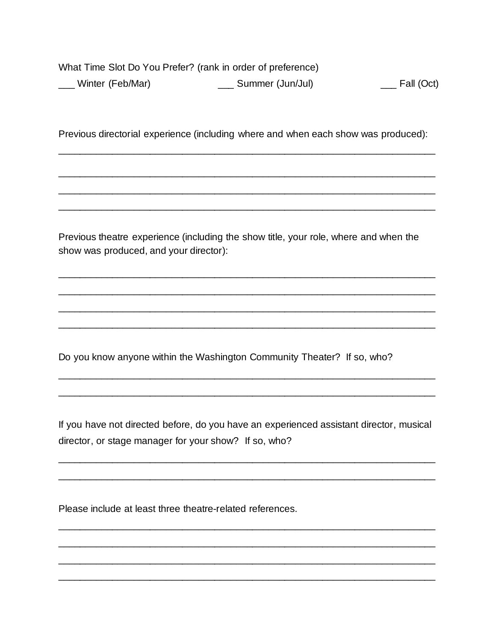What Time Slot Do You Prefer? (rank in order of preference) \_\_\_\_ Summer (Jun/Jul) \_\_\_ Winter (Feb/Mar)  $\frac{1}{\sqrt{1-\frac{1}{c}}}$  Fall (Oct)

Previous directorial experience (including where and when each show was produced):

Previous theatre experience (including the show title, your role, where and when the show was produced, and your director):

Do you know anyone within the Washington Community Theater? If so, who?

If you have not directed before, do you have an experienced assistant director, musical director, or stage manager for your show? If so, who?

Please include at least three theatre-related references.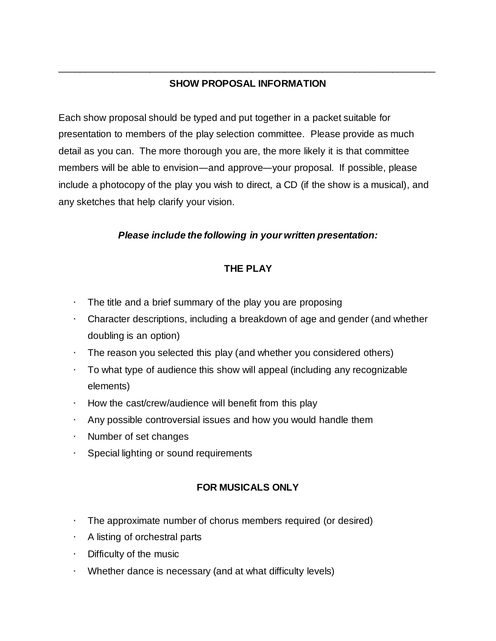# **SHOW PROPOSAL INFORMATION**

\_\_\_\_\_\_\_\_\_\_\_\_\_\_\_\_\_\_\_\_\_\_\_\_\_\_\_\_\_\_\_\_\_\_\_\_\_\_\_\_\_\_\_\_\_\_\_\_\_\_\_\_\_\_\_\_\_\_\_\_\_\_\_\_\_\_\_\_\_\_

Each show proposal should be typed and put together in a packet suitable for presentation to members of the play selection committee. Please provide as much detail as you can. The more thorough you are, the more likely it is that committee members will be able to envision—and approve—your proposal. If possible, please include a photocopy of the play you wish to direct, a CD (if the show is a musical), and any sketches that help clarify your vision.

### *Please include the following in your written presentation:*

## **THE PLAY**

- The title and a brief summary of the play you are proposing
- Character descriptions, including a breakdown of age and gender (and whether doubling is an option)
- The reason you selected this play (and whether you considered others)
- To what type of audience this show will appeal (including any recognizable elements)
- How the cast/crew/audience will benefit from this play
- Any possible controversial issues and how you would handle them
- Number of set changes
- Special lighting or sound requirements

# **FOR MUSICALS ONLY**

- The approximate number of chorus members required (or desired)
- A listing of orchestral parts
- Difficulty of the music
- Whether dance is necessary (and at what difficulty levels)